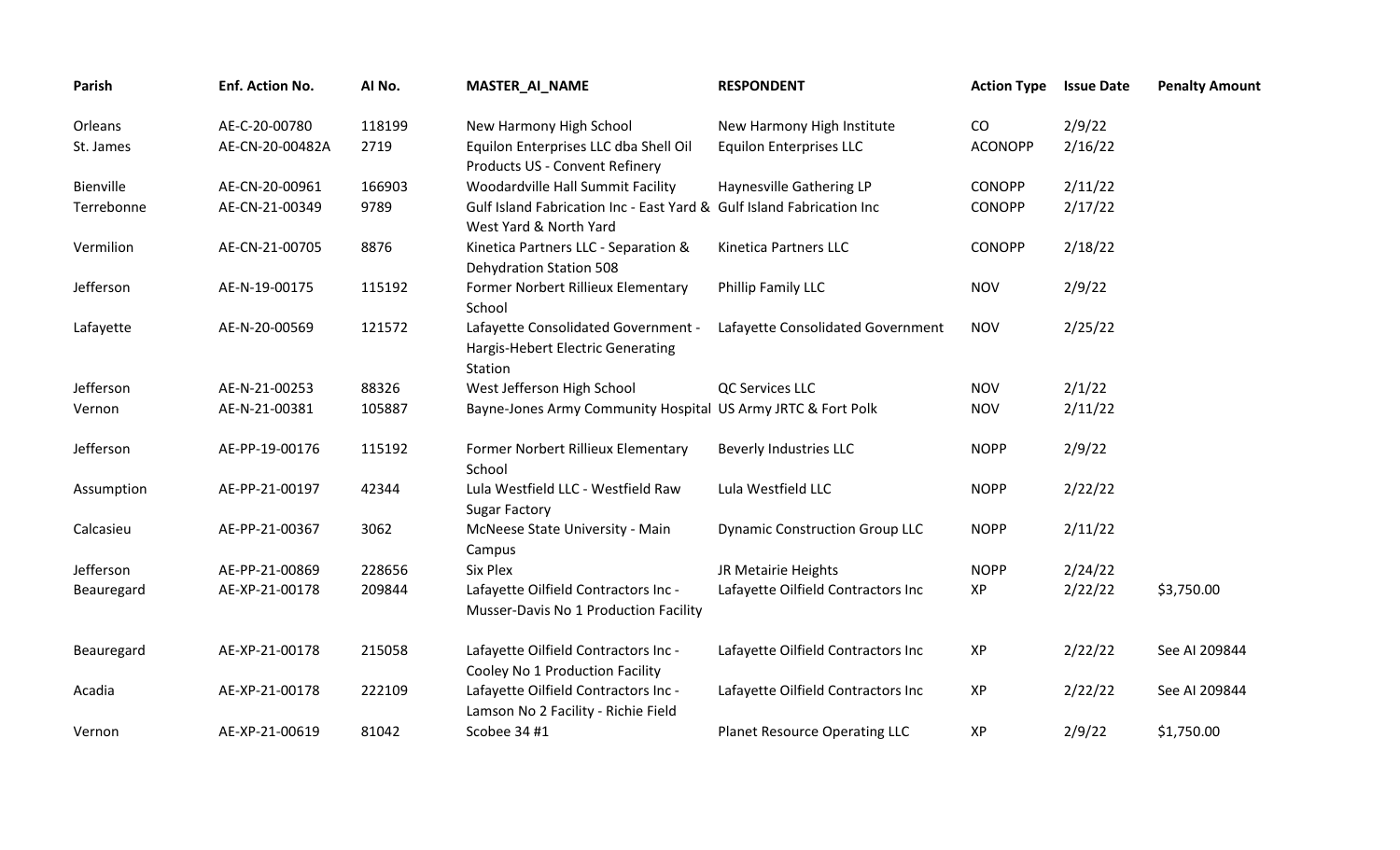| Parish     | Enf. Action No. | AI No. | <b>MASTER_AI_NAME</b>                                                                           | <b>RESPONDENT</b>                     | <b>Action Type</b> | <b>Issue Date</b> | <b>Penalty Amount</b> |
|------------|-----------------|--------|-------------------------------------------------------------------------------------------------|---------------------------------------|--------------------|-------------------|-----------------------|
| Orleans    | AE-C-20-00780   | 118199 | New Harmony High School                                                                         | New Harmony High Institute            | CO                 | 2/9/22            |                       |
| St. James  | AE-CN-20-00482A | 2719   | Equilon Enterprises LLC dba Shell Oil<br>Products US - Convent Refinery                         | <b>Equilon Enterprises LLC</b>        | <b>ACONOPP</b>     | 2/16/22           |                       |
| Bienville  | AE-CN-20-00961  | 166903 | Woodardville Hall Summit Facility                                                               | Haynesville Gathering LP              | <b>CONOPP</b>      | 2/11/22           |                       |
| Terrebonne | AE-CN-21-00349  | 9789   | Gulf Island Fabrication Inc - East Yard & Gulf Island Fabrication Inc<br>West Yard & North Yard |                                       | <b>CONOPP</b>      | 2/17/22           |                       |
| Vermilion  | AE-CN-21-00705  | 8876   | Kinetica Partners LLC - Separation &<br><b>Dehydration Station 508</b>                          | Kinetica Partners LLC                 | <b>CONOPP</b>      | 2/18/22           |                       |
| Jefferson  | AE-N-19-00175   | 115192 | Former Norbert Rillieux Elementary<br>School                                                    | Phillip Family LLC                    | <b>NOV</b>         | 2/9/22            |                       |
| Lafayette  | AE-N-20-00569   | 121572 | Lafayette Consolidated Government -<br><b>Hargis-Hebert Electric Generating</b><br>Station      | Lafayette Consolidated Government     | <b>NOV</b>         | 2/25/22           |                       |
| Jefferson  | AE-N-21-00253   | 88326  | West Jefferson High School                                                                      | QC Services LLC                       | <b>NOV</b>         | 2/1/22            |                       |
| Vernon     | AE-N-21-00381   | 105887 | Bayne-Jones Army Community Hospital US Army JRTC & Fort Polk                                    |                                       | <b>NOV</b>         | 2/11/22           |                       |
| Jefferson  | AE-PP-19-00176  | 115192 | Former Norbert Rillieux Elementary<br>School                                                    | <b>Beverly Industries LLC</b>         | <b>NOPP</b>        | 2/9/22            |                       |
| Assumption | AE-PP-21-00197  | 42344  | Lula Westfield LLC - Westfield Raw<br><b>Sugar Factory</b>                                      | Lula Westfield LLC                    | <b>NOPP</b>        | 2/22/22           |                       |
| Calcasieu  | AE-PP-21-00367  | 3062   | McNeese State University - Main<br>Campus                                                       | <b>Dynamic Construction Group LLC</b> | <b>NOPP</b>        | 2/11/22           |                       |
| Jefferson  | AE-PP-21-00869  | 228656 | Six Plex                                                                                        | JR Metairie Heights                   | <b>NOPP</b>        | 2/24/22           |                       |
| Beauregard | AE-XP-21-00178  | 209844 | Lafayette Oilfield Contractors Inc -<br>Musser-Davis No 1 Production Facility                   | Lafayette Oilfield Contractors Inc    | XP                 | 2/22/22           | \$3,750.00            |
| Beauregard | AE-XP-21-00178  | 215058 | Lafayette Oilfield Contractors Inc -<br>Cooley No 1 Production Facility                         | Lafayette Oilfield Contractors Inc    | XP                 | 2/22/22           | See AI 209844         |
| Acadia     | AE-XP-21-00178  | 222109 | Lafayette Oilfield Contractors Inc -<br>Lamson No 2 Facility - Richie Field                     | Lafayette Oilfield Contractors Inc    | XP                 | 2/22/22           | See AI 209844         |
| Vernon     | AE-XP-21-00619  | 81042  | Scobee 34 #1                                                                                    | Planet Resource Operating LLC         | XP                 | 2/9/22            | \$1,750.00            |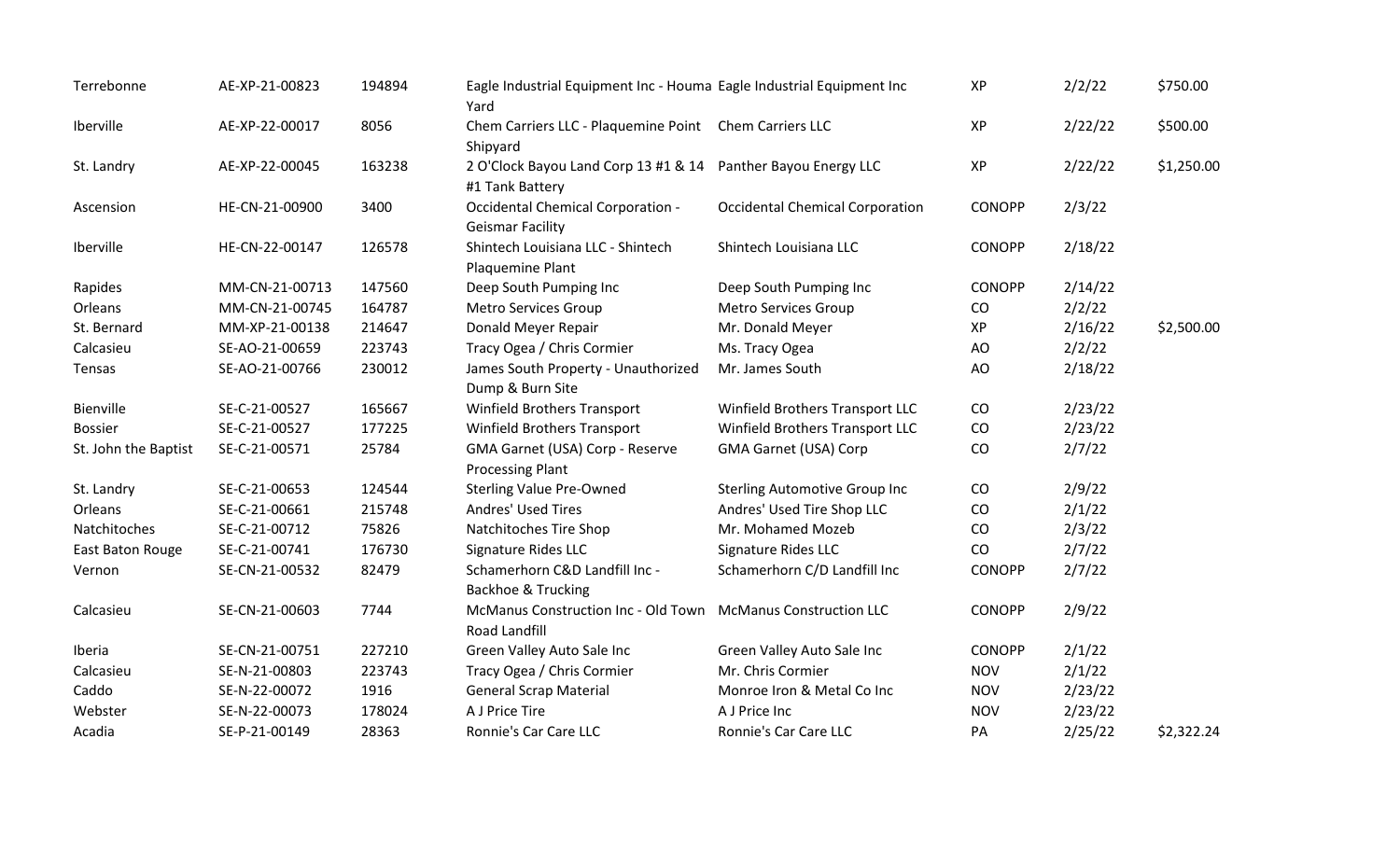| Terrebonne           | AE-XP-21-00823 | 194894 | Eagle Industrial Equipment Inc - Houma Eagle Industrial Equipment Inc<br>Yard |                                        | XP            | 2/2/22  | \$750.00   |
|----------------------|----------------|--------|-------------------------------------------------------------------------------|----------------------------------------|---------------|---------|------------|
| Iberville            | AE-XP-22-00017 | 8056   | Chem Carriers LLC - Plaquemine Point Chem Carriers LLC<br>Shipyard            |                                        | XP            | 2/22/22 | \$500.00   |
| St. Landry           | AE-XP-22-00045 | 163238 | 2 O'Clock Bayou Land Corp 13 #1 & 14<br>#1 Tank Battery                       | Panther Bayou Energy LLC               | XP            | 2/22/22 | \$1,250.00 |
| Ascension            | HE-CN-21-00900 | 3400   | Occidental Chemical Corporation -<br><b>Geismar Facility</b>                  | <b>Occidental Chemical Corporation</b> | <b>CONOPP</b> | 2/3/22  |            |
| Iberville            | HE-CN-22-00147 | 126578 | Shintech Louisiana LLC - Shintech<br>Plaquemine Plant                         | Shintech Louisiana LLC                 | <b>CONOPP</b> | 2/18/22 |            |
| Rapides              | MM-CN-21-00713 | 147560 | Deep South Pumping Inc                                                        | Deep South Pumping Inc                 | <b>CONOPP</b> | 2/14/22 |            |
| Orleans              | MM-CN-21-00745 | 164787 | <b>Metro Services Group</b>                                                   | Metro Services Group                   | CO            | 2/2/22  |            |
| St. Bernard          | MM-XP-21-00138 | 214647 | Donald Meyer Repair                                                           | Mr. Donald Meyer                       | XP            | 2/16/22 | \$2,500.00 |
| Calcasieu            | SE-AO-21-00659 | 223743 | Tracy Ogea / Chris Cormier                                                    | Ms. Tracy Ogea                         | AO            | 2/2/22  |            |
| Tensas               | SE-AO-21-00766 | 230012 | James South Property - Unauthorized<br>Dump & Burn Site                       | Mr. James South                        | AO            | 2/18/22 |            |
| Bienville            | SE-C-21-00527  | 165667 | <b>Winfield Brothers Transport</b>                                            | Winfield Brothers Transport LLC        | CO            | 2/23/22 |            |
| <b>Bossier</b>       | SE-C-21-00527  | 177225 | Winfield Brothers Transport                                                   | Winfield Brothers Transport LLC        | CO            | 2/23/22 |            |
| St. John the Baptist | SE-C-21-00571  | 25784  | GMA Garnet (USA) Corp - Reserve<br><b>Processing Plant</b>                    | <b>GMA Garnet (USA) Corp</b>           | CO            | 2/7/22  |            |
| St. Landry           | SE-C-21-00653  | 124544 | <b>Sterling Value Pre-Owned</b>                                               | <b>Sterling Automotive Group Inc</b>   | CO            | 2/9/22  |            |
| Orleans              | SE-C-21-00661  | 215748 | Andres' Used Tires                                                            | Andres' Used Tire Shop LLC             | CO            | 2/1/22  |            |
| Natchitoches         | SE-C-21-00712  | 75826  | Natchitoches Tire Shop                                                        | Mr. Mohamed Mozeb                      | CO            | 2/3/22  |            |
| East Baton Rouge     | SE-C-21-00741  | 176730 | Signature Rides LLC                                                           | Signature Rides LLC                    | CO            | 2/7/22  |            |
| Vernon               | SE-CN-21-00532 | 82479  | Schamerhorn C&D Landfill Inc -<br><b>Backhoe &amp; Trucking</b>               | Schamerhorn C/D Landfill Inc           | <b>CONOPP</b> | 2/7/22  |            |
| Calcasieu            | SE-CN-21-00603 | 7744   | McManus Construction Inc - Old Town<br>Road Landfill                          | <b>McManus Construction LLC</b>        | <b>CONOPP</b> | 2/9/22  |            |
| Iberia               | SE-CN-21-00751 | 227210 | Green Valley Auto Sale Inc                                                    | Green Valley Auto Sale Inc             | <b>CONOPP</b> | 2/1/22  |            |
| Calcasieu            | SE-N-21-00803  | 223743 | Tracy Ogea / Chris Cormier                                                    | Mr. Chris Cormier                      | <b>NOV</b>    | 2/1/22  |            |
| Caddo                | SE-N-22-00072  | 1916   | <b>General Scrap Material</b>                                                 | Monroe Iron & Metal Co Inc             | <b>NOV</b>    | 2/23/22 |            |
| Webster              | SE-N-22-00073  | 178024 | A J Price Tire                                                                | A J Price Inc                          | <b>NOV</b>    | 2/23/22 |            |
| Acadia               | SE-P-21-00149  | 28363  | Ronnie's Car Care LLC                                                         | Ronnie's Car Care LLC                  | PA            | 2/25/22 | \$2,322.24 |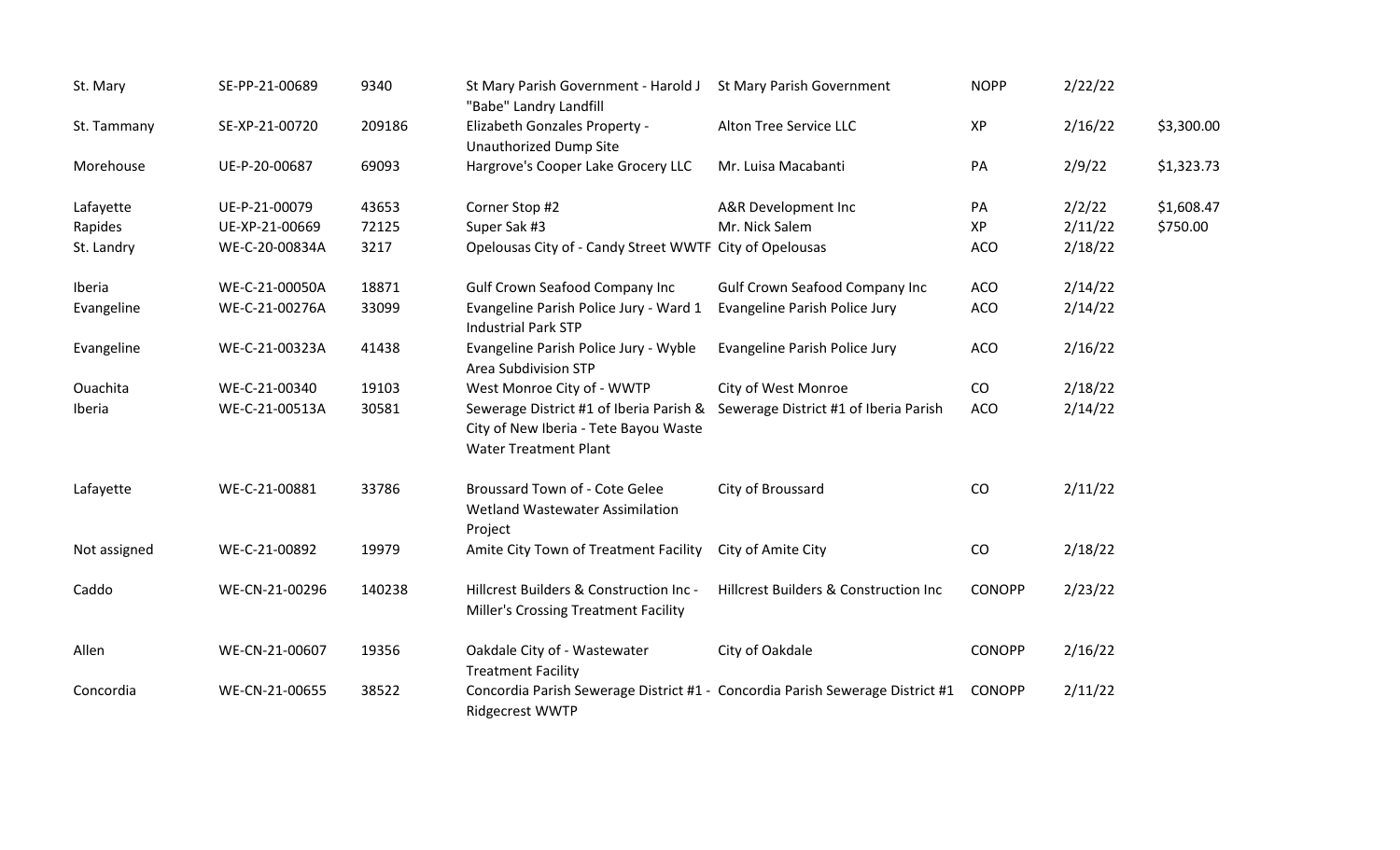| St. Mary     | SE-PP-21-00689 | 9340   | St Mary Parish Government - Harold J<br>"Babe" Landry Landfill                                                   | St Mary Parish Government             | <b>NOPP</b>   | 2/22/22 |            |
|--------------|----------------|--------|------------------------------------------------------------------------------------------------------------------|---------------------------------------|---------------|---------|------------|
| St. Tammany  | SE-XP-21-00720 | 209186 | Elizabeth Gonzales Property -<br><b>Unauthorized Dump Site</b>                                                   | Alton Tree Service LLC                | XP            | 2/16/22 | \$3,300.00 |
| Morehouse    | UE-P-20-00687  | 69093  | Hargrove's Cooper Lake Grocery LLC                                                                               | Mr. Luisa Macabanti                   | PA            | 2/9/22  | \$1,323.73 |
| Lafayette    | UE-P-21-00079  | 43653  | Corner Stop #2                                                                                                   | A&R Development Inc                   | PA            | 2/2/22  | \$1,608.47 |
| Rapides      | UE-XP-21-00669 | 72125  | Super Sak #3                                                                                                     | Mr. Nick Salem                        | XP            | 2/11/22 | \$750.00   |
| St. Landry   | WE-C-20-00834A | 3217   | Opelousas City of - Candy Street WWTF City of Opelousas                                                          |                                       | <b>ACO</b>    | 2/18/22 |            |
| Iberia       | WE-C-21-00050A | 18871  | <b>Gulf Crown Seafood Company Inc</b>                                                                            | <b>Gulf Crown Seafood Company Inc</b> | <b>ACO</b>    | 2/14/22 |            |
| Evangeline   | WE-C-21-00276A | 33099  | Evangeline Parish Police Jury - Ward 1<br><b>Industrial Park STP</b>                                             | Evangeline Parish Police Jury         | <b>ACO</b>    | 2/14/22 |            |
| Evangeline   | WE-C-21-00323A | 41438  | Evangeline Parish Police Jury - Wyble<br><b>Area Subdivision STP</b>                                             | Evangeline Parish Police Jury         | <b>ACO</b>    | 2/16/22 |            |
| Ouachita     | WE-C-21-00340  | 19103  | West Monroe City of - WWTP                                                                                       | City of West Monroe                   | CO            | 2/18/22 |            |
| Iberia       | WE-C-21-00513A | 30581  | Sewerage District #1 of Iberia Parish &<br>City of New Iberia - Tete Bayou Waste<br><b>Water Treatment Plant</b> | Sewerage District #1 of Iberia Parish | <b>ACO</b>    | 2/14/22 |            |
| Lafayette    | WE-C-21-00881  | 33786  | Broussard Town of - Cote Gelee<br>Wetland Wastewater Assimilation<br>Project                                     | City of Broussard                     | CO            | 2/11/22 |            |
| Not assigned | WE-C-21-00892  | 19979  | Amite City Town of Treatment Facility                                                                            | City of Amite City                    | CO            | 2/18/22 |            |
| Caddo        | WE-CN-21-00296 | 140238 | Hillcrest Builders & Construction Inc -<br><b>Miller's Crossing Treatment Facility</b>                           | Hillcrest Builders & Construction Inc | <b>CONOPP</b> | 2/23/22 |            |
| Allen        | WE-CN-21-00607 | 19356  | Oakdale City of - Wastewater<br><b>Treatment Facility</b>                                                        | City of Oakdale                       | <b>CONOPP</b> | 2/16/22 |            |
| Concordia    | WE-CN-21-00655 | 38522  | Concordia Parish Sewerage District #1 - Concordia Parish Sewerage District #1<br><b>Ridgecrest WWTP</b>          |                                       | <b>CONOPP</b> | 2/11/22 |            |